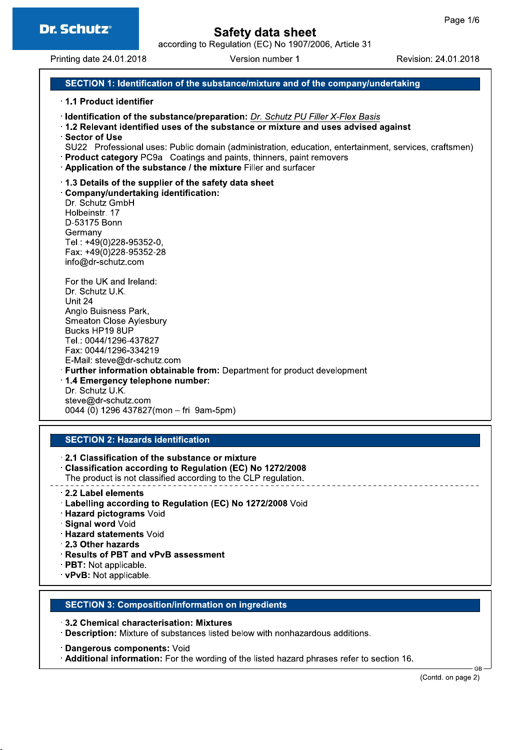according to Regulation (EC) No 1907/2006, Article 31

Printing date 24.01.2018

Version number 1

Revision: 24.01.2018

# SECTION 1: Identification of the substance/mixture and of the company/undertaking

### 1.1 Product identifier

- · Identification of the substance/preparation: Dr. Schutz PU Filler X-Flex Basis
- 1.2 Relevant identified uses of the substance or mixture and uses advised against
- Sector of Use
- SU22 Professional uses: Public domain (administration, education, entertainment, services, craftsmen)
- · Product category PC9a Coatings and paints, thinners, paint removers
- Application of the substance / the mixture Filler and surfacer

### 1.3 Details of the supplier of the safety data sheet

Company/undertaking identification: Dr. Schutz GmbH Holbeinstr. 17 D-53175 Bonn Germany Tel.: +49(0)228-95352-0. Fax: +49(0)228-95352-28 info@dr-schutz.com

For the UK and Ireland: Dr. Schutz U.K. Unit 24 Anglo Buisness Park, Smeaton Close Aylesbury Bucks HP19 8UP Tel.: 0044/1296-437827 Fax: 0044/1296-334219 E-Mail: steve@dr-schutz.com · Further information obtainable from: Department for product development 1.4 Emergency telephone number: Dr. Schutz U.K.

# steve@dr-schutz.com 0044 (0) 1296 437827(mon - fri 9am-5pm)

### **SECTION 2: Hazards identification**

- 2.1 Classification of the substance or mixture Classification according to Regulation (EC) No 1272/2008 The product is not classified according to the CLP regulation.
- 2.2 Label elements
	- · Labelling according to Regulation (EC) No 1272/2008 Void
	- · Hazard pictograms Void
	- · Signal word Void
	- · Hazard statements Void
	- 2.3 Other hazards
	- · Results of PBT and vPvB assessment
	- PBT: Not applicable.
	- vPvB: Not applicable.

### **SECTION 3: Composition/information on ingredients**

- 3.2 Chemical characterisation: Mixtures
- Description: Mixture of substances listed below with nonhazardous additions.

· Dangerous components: Void

Additional information: For the wording of the listed hazard phrases refer to section 16.

GR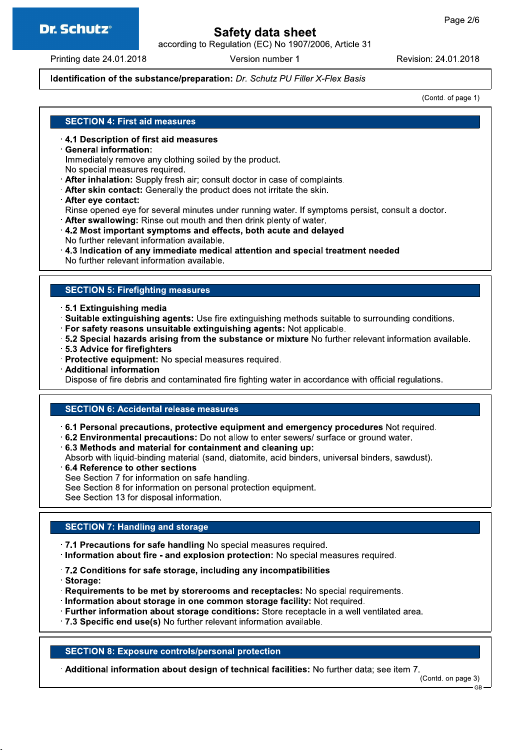# **Dr. Schutz®**

# Safety data sheet

according to Regulation (EC) No 1907/2006, Article 31

Printing date 24.01.2018

Version number 1

Revision: 24.01.2018

## Identification of the substance/preparation: Dr. Schutz PU Filler X-Flex Basis

(Contd. of page 1)

### **SECTION 4: First aid measures**

- 4.1 Description of first aid measures
- **General information:**

Immediately remove any clothing soiled by the product.

- No special measures required.
- After inhalation: Supply fresh air; consult doctor in case of complaints.
- After skin contact: Generally the product does not irritate the skin.
- After eve contact:

Rinse opened eye for several minutes under running water. If symptoms persist, consult a doctor.

- After swallowing: Rinse out mouth and then drink plenty of water.
- 4.2 Most important symptoms and effects, both acute and delayed
- No further relevant information available.
- 4.3 Indication of any immediate medical attention and special treatment needed

No further relevant information available.

### **SECTION 5: Firefighting measures**

- 5.1 Extinguishing media
- · Suitable extinguishing agents: Use fire extinguishing methods suitable to surrounding conditions.
- · For safety reasons unsuitable extinguishing agents: Not applicable.
- 5.2 Special hazards arising from the substance or mixture No further relevant information available.
- 5.3 Advice for firefighters
- · Protective equipment: No special measures required.
- Additional information

Dispose of fire debris and contaminated fire fighting water in accordance with official regulations.

### **SECTION 6: Accidental release measures**

- $\cdot$  6.1 Personal precautions, protective equipment and emergency procedures Not required.
- .6.2 Environmental precautions: Do not allow to enter sewers/ surface or ground water.
- 6.3 Methods and material for containment and cleaning up:

Absorb with liquid-binding material (sand, diatomite, acid binders, universal binders, sawdust).

- 6.4 Reference to other sections
- See Section 7 for information on safe handling.
- See Section 8 for information on personal protection equipment.

See Section 13 for disposal information.

### **SECTION 7: Handling and storage**

- .7.1 Precautions for safe handling No special measures required.
- · Information about fire and explosion protection: No special measures required.
- .7.2 Conditions for safe storage, including any incompatibilities
- · Storage:
- Requirements to be met by storerooms and receptacles: No special requirements.
- Information about storage in one common storage facility: Not required.
- · Further information about storage conditions: Store receptacle in a well ventilated area.
- .7.3 Specific end use(s) No further relevant information available.

### **SECTION 8: Exposure controls/personal protection**

Additional information about design of technical facilities: No further data; see item 7.

(Contd. on page 3)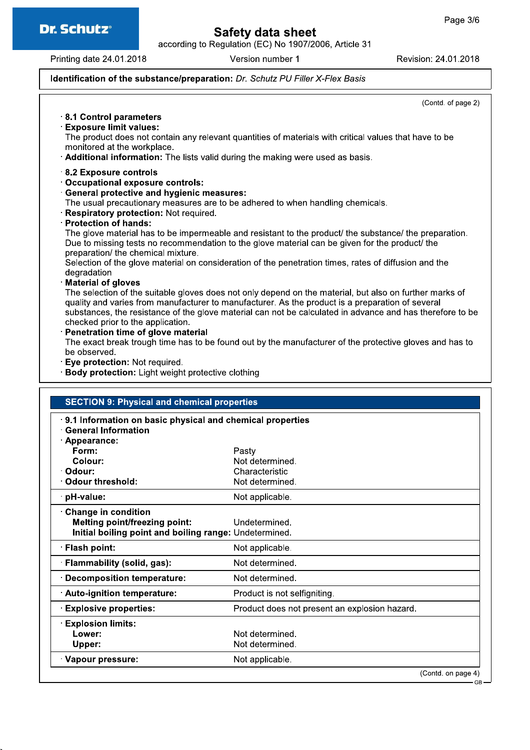

# Safety data sheet

according to Regulation (EC) No 1907/2006, Article 31

Printing date 24.01.2018

Version number 1

Revision: 24.01.2018

## Identification of the substance/preparation: Dr. Schutz PU Filler X-Flex Basis

(Contd. of page 2) 8.1 Control parameters **Exposure limit values:** The product does not contain any relevant quantities of materials with critical values that have to be monitored at the workplace. Additional information: The lists valid during the making were used as basis. 8.2 Exposure controls Occupational exposure controls: **General protective and hygienic measures:** The usual precautionary measures are to be adhered to when handling chemicals. Respiratory protection: Not required. **Protection of hands:** The glove material has to be impermeable and resistant to the product/ the substance/ the preparation. Due to missing tests no recommendation to the glove material can be given for the product/ the preparation/ the chemical mixture. Selection of the glove material on consideration of the penetration times, rates of diffusion and the degradation **Material of gloves** The selection of the suitable gloves does not only depend on the material, but also on further marks of quality and varies from manufacturer to manufacturer. As the product is a preparation of several substances, the resistance of the glove material can not be calculated in advance and has therefore to be checked prior to the application. Penetration time of glove material The exact break trough time has to be found out by the manufacturer of the protective gloves and has to be observed. Eye protection: Not required. · Body protection: Light weight protective clothing **SECTION 9: Physical and chemical properties** 9.1 Information on basic physical and chemical properties **General Information** Appearance: Form: Pasty Colour: Not determined. Characteristic · Odour: Odour threshold: Not determined. pH-value: Not applicable. **Change in condition Melting point/freezing point:** Undetermined. Initial boiling point and boiling range: Undetermined. · Flash point: Not applicable. · Flammability (solid, gas): Not determined. **Decomposition temperature:** Not determined. Auto-ignition temperature: Product is not selfigniting. **Explosive properties:** Product does not present an explosion hazard. **Explosion limits:** Lower: Not determined. Upper: Not determined. Vapour pressure: Not applicable. (Contd. on page 4)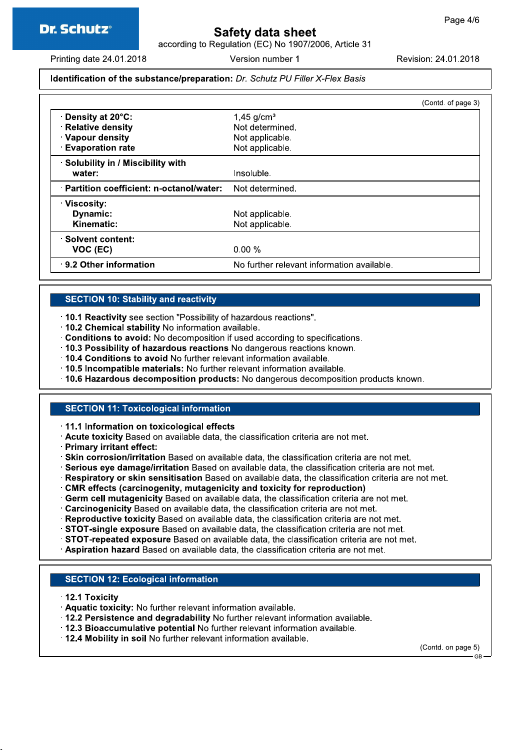# Safety data sheet

according to Regulation (EC) No 1907/2006, Article 31

Printing date 24.01.2018

Version number 1

Revision: 24.01.2018

## Identification of the substance/preparation: Dr. Schutz PU Filler X-Flex Basis

|                                           | (Contd. of page 3)                         |
|-------------------------------------------|--------------------------------------------|
| <b>⋅Density at 20°C:</b>                  | $1,45$ g/cm <sup>3</sup>                   |
| <b>Relative density</b>                   | Not determined.                            |
| · Vapour density                          | Not applicable.                            |
| <b>Evaporation rate</b>                   | Not applicable.                            |
| Solubility in / Miscibility with          |                                            |
| water:                                    | Insoluble.                                 |
| · Partition coefficient: n-octanol/water: | Not determined.                            |
| ∵Viscosity:                               |                                            |
| Dynamic:                                  | Not applicable.                            |
| Kinematic:                                | Not applicable.                            |
| Solvent content:                          |                                            |
| VOC (EC)                                  | $0.00 \%$                                  |
| 9.2 Other information                     | No further relevant information available. |

### **SECTION 10: Stability and reactivity**

- · 10.1 Reactivity see section "Possibility of hazardous reactions".
- .10.2 Chemical stability No information available.
- Conditions to avoid: No decomposition if used according to specifications.
- 10.3 Possibility of hazardous reactions No dangerous reactions known.
- . 10.4 Conditions to avoid No further relevant information available.
- · 10.5 Incompatible materials: No further relevant information available.
- . 10.6 Hazardous decomposition products: No dangerous decomposition products known.

### **SECTION 11: Toxicological information**

11.1 Information on toxicological effects

- Acute toxicity Based on available data, the classification criteria are not met.
- · Primary irritant effect:
- . Skin corrosion/irritation Based on available data, the classification criteria are not met.
- · Serious eye damage/irritation Based on available data, the classification criteria are not met.
- · Respiratory or skin sensitisation Based on available data, the classification criteria are not met.
- CMR effects (carcinogenity, mutagenicity and toxicity for reproduction)
- · Germ cell mutagenicity Based on available data, the classification criteria are not met.
- · Carcinogenicity Based on available data, the classification criteria are not met.
- · Reproductive toxicity Based on available data, the classification criteria are not met.
- STOT-single exposure Based on available data, the classification criteria are not met.
- STOT-repeated exposure Based on available data, the classification criteria are not met.
- Aspiration hazard Based on available data, the classification criteria are not met.

## **SECTION 12: Ecological information**

- 12.1 Toxicity
- Aquatic toxicity: No further relevant information available.
- 12.2 Persistence and degradability No further relevant information available.
- . 12.3 Bioaccumulative potential No further relevant information available.
- . 12.4 Mobility in soil No further relevant information available.

(Contd. on page 5)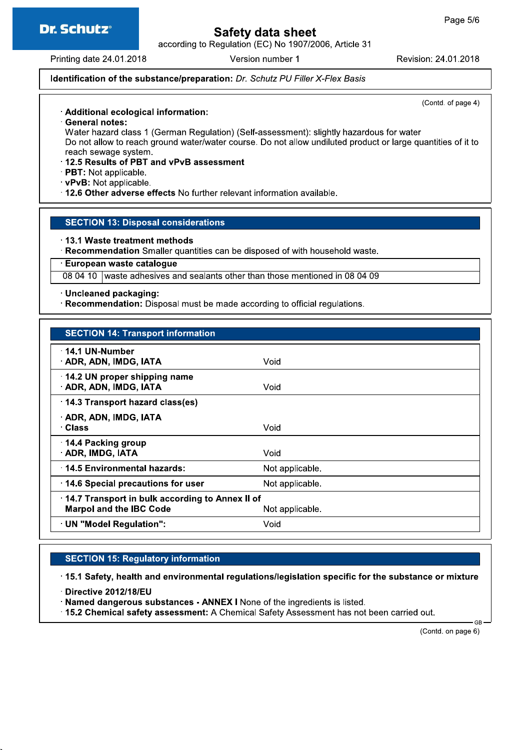

# **Safety data sheet**

according to Regulation (EC) No 1907/2006, Article 31

Printing date 24.01.2018

Version number 1

Revision: 24.01.2018

## Identification of the substance/preparation: Dr. Schutz PU Filler X-Flex Basis

(Contd. of page 4)

## · Additional ecological information:

General notes:

Water hazard class 1 (German Regulation) (Self-assessment): slightly hazardous for water Do not allow to reach ground water/water course. Do not allow undiluted product or large quantities of it to reach sewage system.

- 12.5 Results of PBT and vPvB assessment
- · PBT: Not applicable.
- vPvB: Not applicable.
- . 12.6 Other adverse effects No further relevant information available.

### **SECTION 13: Disposal considerations**

13.1 Waste treatment methods

· Recommendation Smaller quantities can be disposed of with household waste.

**European waste cataloque** 

08 04 10 | waste adhesives and sealants other than those mentioned in 08 04 09

· Uncleaned packaging:

· Recommendation: Disposal must be made according to official regulations.

| <b>SECTION 14: Transport information</b>                                                             |                 |
|------------------------------------------------------------------------------------------------------|-----------------|
| 14.1 UN-Number<br>· ADR, ADN, IMDG, IATA                                                             | Void            |
| 14.2 UN proper shipping name<br>ADR, ADN, IMDG, IATA                                                 | Void            |
| 14.3 Transport hazard class(es)                                                                      |                 |
| · ADR, ADN, IMDG, IATA<br>∴Class                                                                     | Void            |
| 14.4 Packing group<br><b>ADR, IMDG, IATA</b>                                                         | Void            |
| 14.5 Environmental hazards:                                                                          | Not applicable. |
| 14.6 Special precautions for user                                                                    | Not applicable. |
| 14.7 Transport in bulk according to Annex II of<br><b>Marpol and the IBC Code</b><br>Not applicable. |                 |
| UN "Model Regulation":                                                                               | Void            |

### **SECTION 15: Regulatory information**

15.1 Safety, health and environmental regulations/legislation specific for the substance or mixture

Directive 2012/18/EU

· Named dangerous substances - ANNEX I None of the ingredients is listed.

. 15.2 Chemical safety assessment: A Chemical Safety Assessment has not been carried out.

(Contd. on page 6)

**GR**